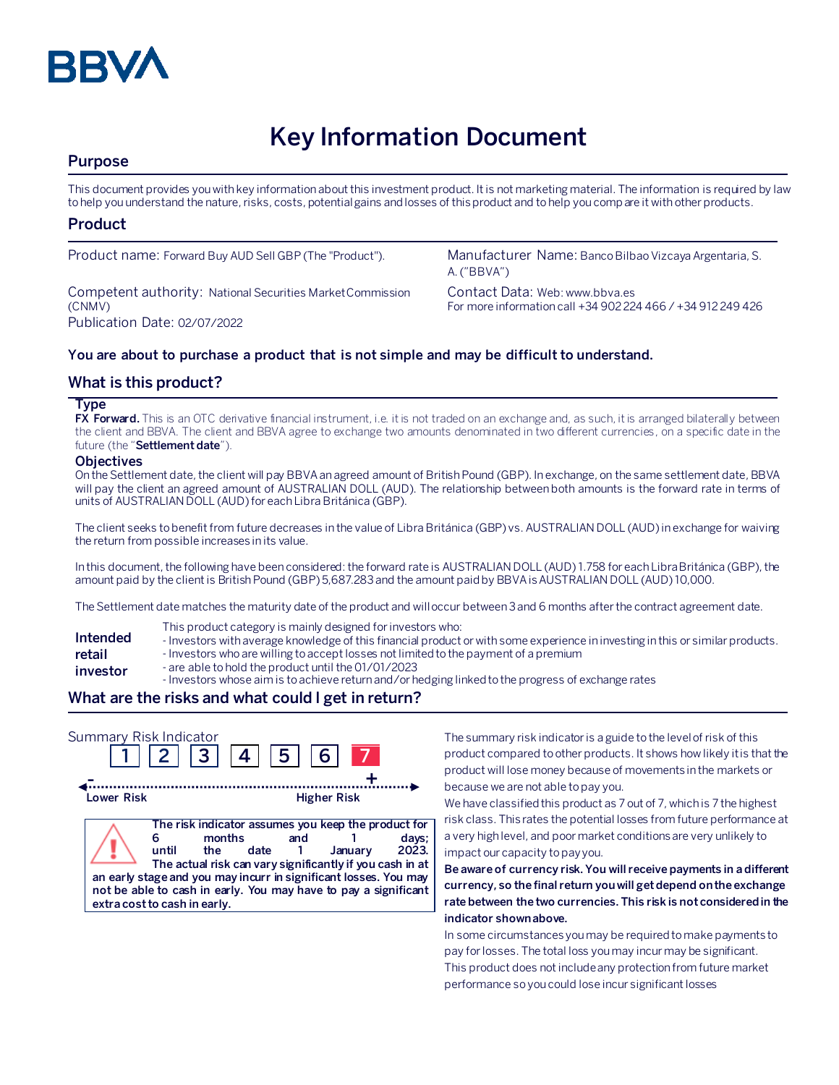

# **Key Information Document**

# **Purpose**

This document provides you with key information about this investment product. It is not marketing material. The information is required by law to help you understand the nature, risks, costs, potential gains and losses of this product and to help you compare it with other products.

## **Product**

Competent authority: National Securities Market Commission (CNMV) Publication Date: 02/07/2022

Product name: Forward Buy AUD Sell GBP (The "Product"). Manufacturer Name: Banco Bilbao Vizcaya Argentaria, S. A. ("BBVA")

> Contact Data: Web: www.bbva.es For more information call +34 902 224 466 / +34 912 249 426

## **You are about to purchase a product that is not simple and may be difficult to understand.**

# **What is this product?**

#### **Type**

**FX Forward.** This is an OTC derivative financial instrument, i.e. it is not traded on an exchange and, as such, it is arranged bilaterally between the client and BBVA. The client and BBVA agree to exchange two amounts denominated in two different currencies, on a specific date in the future (the "**Settlement date**").

#### **Objectives**

On the Settlement date, the client will pay BBVA an agreed amount of British Pound (GBP). In exchange, on the same settlement date, BBVA will pay the client an agreed amount of AUSTRALIAN DOLL (AUD). The relationship between both amounts is the forward rate in terms of units of AUSTRALIAN DOLL (AUD) for each Libra Británica (GBP).

The client seeks to benefit from future decreases in the value of Libra Británica (GBP) vs. AUSTRALIAN DOLL (AUD) in exchange for waiving the return from possible increases in its value.

In this document, the following have been considered: the forward rate is AUSTRALIAN DOLL (AUD) 1.758 for each Libra Británica (GBP), the amount paid by the client is British Pound (GBP) 5,687.283 and the amount paid by BBVA is AUSTRALIAN DOLL (AUD) 10,000.

The Settlement date matches the maturity date of the product and will occur between 3 and 6 months after the contract agreement date.

- This product category is mainly designed for investors who:
- **Intended**  - Investors with average knowledge of this financial product or with some experience in investing in this or similar products.
- **retail**  - Investors who are willing to accept losses not limited to the payment of a premium
- **investor** - are able to hold the product until the 01/01/2023
	- Investors whose aim is to achieve return and/or hedging linked to the progress of exchange rates

# **What are the risks and what could I get in return?**

| Summary Risk Indicator       |       | 3  4          |      | 5 <sub>1</sub> | 6 <sup>1</sup>                                                                                                                                                                                                                                                    |                |
|------------------------------|-------|---------------|------|----------------|-------------------------------------------------------------------------------------------------------------------------------------------------------------------------------------------------------------------------------------------------------------------|----------------|
| Lower Risk                   |       |               |      |                | <b>Higher Risk</b>                                                                                                                                                                                                                                                |                |
| extra cost to cash in early. | until | months<br>the | date | and            | The risk indicator assumes you keep the product for<br>January<br>The actual risk can vary significantly if you cash in at<br>an early stage and you may incurr in significant losses. You may<br>not be able to cash in early. You may have to pay a significant | days;<br>2023. |

The summary risk indicator is a guide to the level of risk of this product compared to other products. It shows how likely it is that the product will lose money because of movements in the markets or because we are not able to pay you.

We have classified this product as 7 out of 7, which is 7 the highest risk class. This rates the potential losses from future performance at a very high level, and poor market conditions are very unlikely to impact our capacity to pay you.

**Be aware of currency risk. You will receive payments in a different currency, so the final return you will get depend on the exchange rate between the two currencies. This risk is not considered in the indicator shown above.**

In some circumstances you may be required to make payments to pay for losses. The total loss you may incur may be significant. This product does not include any protection from future market performance so you could lose incur significant losses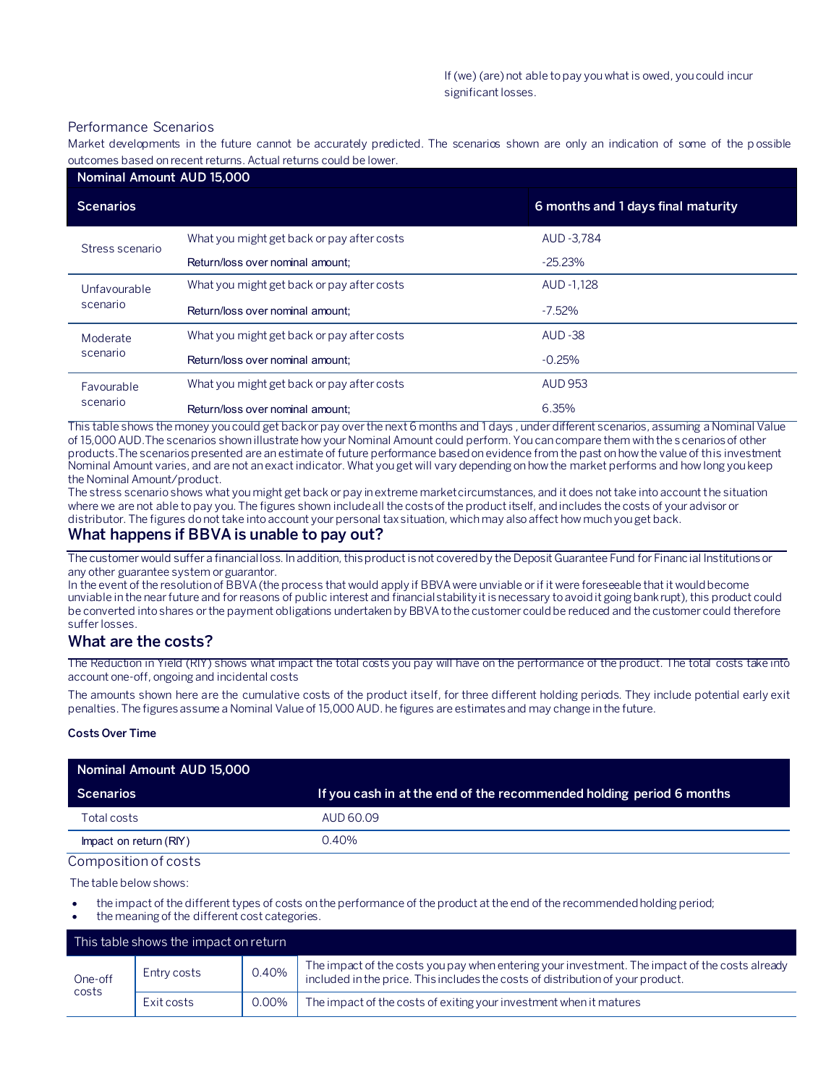#### Performance Scenarios

Market developments in the future cannot be accurately predicted. The scenarios shown are only an indication of some of the p ossible outcomes based on recent returns. Actual returns could be lower.

| Nominal Amount AUD 15,000 |                                            |                                    |  |
|---------------------------|--------------------------------------------|------------------------------------|--|
| <b>Scenarios</b>          |                                            | 6 months and 1 days final maturity |  |
| Stress scenario           | What you might get back or pay after costs | AUD - 3.784                        |  |
|                           | Return/loss over nominal amount;           | $-25.23%$                          |  |
| Unfavourable<br>scenario  | What you might get back or pay after costs | AUD -1.128                         |  |
|                           | Return/loss over nominal amount:           | $-7.52\%$                          |  |
| Moderate<br>scenario      | What you might get back or pay after costs | <b>AUD -38</b>                     |  |
|                           | Return/loss over nominal amount:           | $-0.25%$                           |  |
| Favourable<br>scenario    | What you might get back or pay after costs | <b>AUD 953</b>                     |  |
|                           | Return/loss over nominal amount:           | 6.35%                              |  |

This table shows the money you could get back or pay over the next 6 months and 1 days , under different scenarios, assuming a Nominal Value of 15,000 AUD.The scenarios shown illustrate how your Nominal Amount could perform. You can compare them with the s cenarios of other products.The scenarios presented are an estimate of future performance based on evidence from the past on how the value of this investment Nominal Amount varies, and are not an exact indicator. What you get will vary depending on how the market performs and how long you keep the Nominal Amount/product.

The stress scenario shows what you might get back or pay in extreme market circumstances, and it does not take into account the situation where we are not able to pay you. The figures shown include all the costs of the product itself, and includes the costs of your advisor or distributor. The figures do not take into account your personal tax situation, which may also affect how much you get back.

## **What happens if BBVA is unable to pay out?**

The customer would suffer a financial loss. In addition, this product is not covered by the Deposit Guarantee Fund for Financial Institutions or any other guarantee system or guarantor.

In the event of the resolution of BBVA (the process that would apply if BBVA were unviable or if it were foreseeable that it would become unviable in the near future and for reasons of public interest and financial stability it is necessary to avoid it going bankrupt), this product could be converted into shares or the payment obligations undertaken by BBVA to the customer could be reduced and the customer could therefore suffer losses.

# **What are the costs?**

The Reduction in Yield (RIY) shows what impact the total costs you pay will have on the performance of the product. The total costs take into account one-off, ongoing and incidental costs

The amounts shown here are the cumulative costs of the product itself, for three different holding periods. They include potential early exit penalties. The figures assume a Nominal Value of 15,000 AUD. he figures are estimates and may change in the future.

#### **Costs Over Time**

| Nominal Amount AUD 15,000 |                                                                      |
|---------------------------|----------------------------------------------------------------------|
| <b>Scenarios</b>          | If you cash in at the end of the recommended holding period 6 months |
| Total costs               | AUD 60.09                                                            |
| Impact on return (RIY)    | 0.40%                                                                |

#### Composition of costs

The table below shows:

- the impact of the different types of costs on the performance of the product at the end of the recommended holding period;
- the meaning of the different cost categories.

| This table shows the impact on return |             |       |                                                                                                                                                                                   |
|---------------------------------------|-------------|-------|-----------------------------------------------------------------------------------------------------------------------------------------------------------------------------------|
| One-off<br>costs                      | Entry costs | 0.40% | The impact of the costs you pay when entering your investment. The impact of the costs already<br>included in the price. This includes the costs of distribution of your product. |
|                                       | Exit costs  | 0.00% | The impact of the costs of exiting your investment when it matures                                                                                                                |